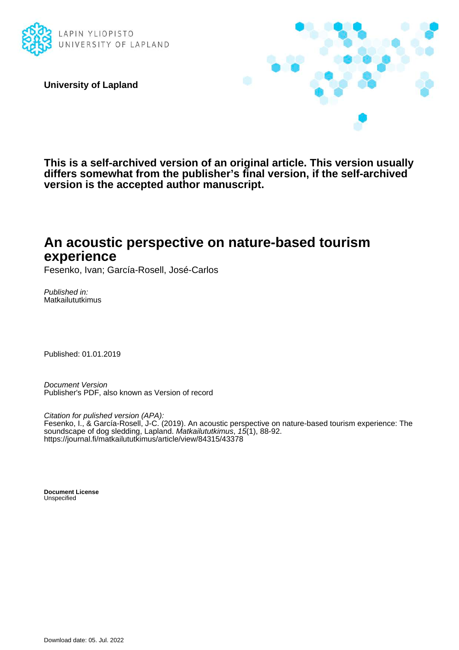

**University of Lapland**



**This is a self-archived version of an original article. This version usually differs somewhat from the publisher's final version, if the self-archived version is the accepted author manuscript.**

## **An acoustic perspective on nature-based tourism experience**

Fesenko, Ivan; García-Rosell, José-Carlos

Published in: Matkailututkimus

Published: 01.01.2019

Document Version Publisher's PDF, also known as Version of record

Citation for pulished version (APA): Fesenko, I., & García-Rosell, J-C. (2019). An acoustic perspective on nature-based tourism experience: The soundscape of dog sledding, Lapland. Matkailututkimus, 15(1), 88-92. <https://journal.fi/matkailututkimus/article/view/84315/43378>

**Document License** Unspecified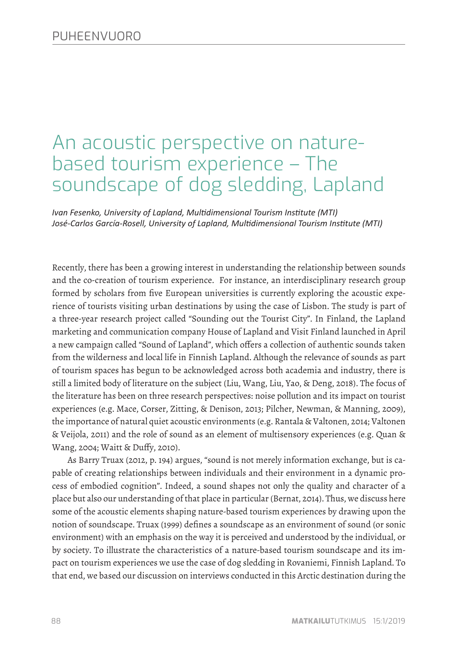# An acoustic perspective on naturebased tourism experience – The soundscape of dog sledding, Lapland

*Ivan Fesenko, University of Lapland, Multidimensional Tourism Institute (MTI) José-Carlos García-Rosell, University of Lapland, Multidimensional Tourism Institute (MTI)*

Recently, there has been a growing interest in understanding the relationship between sounds and the co-creation of tourism experience. For instance, an interdisciplinary research group formed by scholars from five European universities is currently exploring the acoustic experience of tourists visiting urban destinations by using the case of Lisbon. The study is part of a three-year research project called "Sounding out the Tourist City". In Finland, the Lapland marketing and communication company House of Lapland and Visit Finland launched in April a new campaign called "Sound of Lapland", which offers a collection of authentic sounds taken from the wilderness and local life in Finnish Lapland. Although the relevance of sounds as part of tourism spaces has begun to be acknowledged across both academia and industry, there is still a limited body of literature on the subject (Liu, Wang, Liu, Yao, & Deng, 2018). The focus of the literature has been on three research perspectives: noise pollution and its impact on tourist experiences (e.g. Mace, Corser, Zitting, & Denison, 2013; Pilcher, Newman, & Manning, 2009), the importance of natural quiet acoustic environments (e.g. Rantala & Valtonen, 2014; Valtonen & Veijola, 2011) and the role of sound as an element of multisensory experiences (e.g. Quan & Wang, 2004; Waitt & Duffy, 2010).

As Barry Truax (2012, p. 194) argues, "sound is not merely information exchange, but is capable of creating relationships between individuals and their environment in a dynamic process of embodied cognition". Indeed, a sound shapes not only the quality and character of a place but also our understanding of that place in particular (Bernat, 2014). Thus, we discuss here some of the acoustic elements shaping nature-based tourism experiences by drawing upon the notion of soundscape. Truax (1999) defines a soundscape as an environment of sound (or sonic environment) with an emphasis on the way it is perceived and understood by the individual, or by society. To illustrate the characteristics of a nature-based tourism soundscape and its impact on tourism experiences we use the case of dog sledding in Rovaniemi, Finnish Lapland. To that end, we based our discussion on interviews conducted in this Arctic destination during the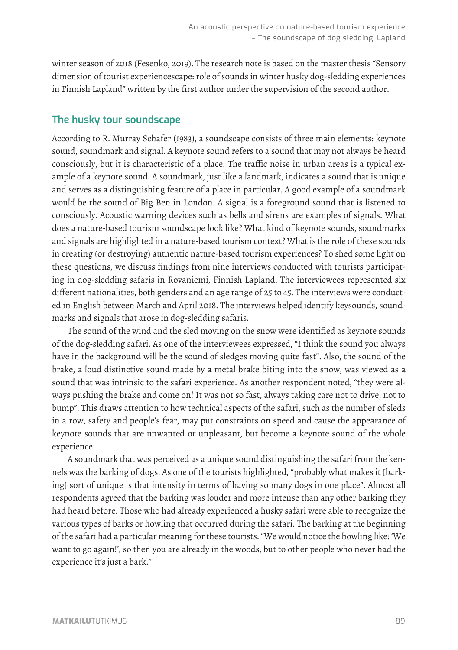winter season of 2018 (Fesenko, 2019). The research note is based on the master thesis "Sensory dimension of tourist experiencescape: role of sounds in winter husky dog-sledding experiences in Finnish Lapland" written by the first author under the supervision of the second author.

### **The husky tour soundscape**

According to R. Murray Schafer (1983), a soundscape consists of three main elements: keynote sound, soundmark and signal. A keynote sound refers to a sound that may not always be heard consciously, but it is characteristic of a place. The traffic noise in urban areas is a typical example of a keynote sound. A soundmark, just like a landmark, indicates a sound that is unique and serves as a distinguishing feature of a place in particular. A good example of a soundmark would be the sound of Big Ben in London. A signal is a foreground sound that is listened to consciously. Acoustic warning devices such as bells and sirens are examples of signals. What does a nature-based tourism soundscape look like? What kind of keynote sounds, soundmarks and signals are highlighted in a nature-based tourism context? What is the role of these sounds in creating (or destroying) authentic nature-based tourism experiences? To shed some light on these questions, we discuss findings from nine interviews conducted with tourists participating in dog-sledding safaris in Rovaniemi, Finnish Lapland. The interviewees represented six different nationalities, both genders and an age range of 25 to 45. The interviews were conducted in English between March and April 2018. The interviews helped identify keysounds, soundmarks and signals that arose in dog-sledding safaris.

The sound of the wind and the sled moving on the snow were identified as keynote sounds of the dog-sledding safari. As one of the interviewees expressed, "I think the sound you always have in the background will be the sound of sledges moving quite fast". Also, the sound of the brake, a loud distinctive sound made by a metal brake biting into the snow, was viewed as a sound that was intrinsic to the safari experience. As another respondent noted, "they were always pushing the brake and come on! It was not so fast, always taking care not to drive, not to bump". This draws attention to how technical aspects of the safari, such as the number of sleds in a row, safety and people's fear, may put constraints on speed and cause the appearance of keynote sounds that are unwanted or unpleasant, but become a keynote sound of the whole experience.

A soundmark that was perceived as a unique sound distinguishing the safari from the kennels was the barking of dogs. As one of the tourists highlighted, "probably what makes it [barking] sort of unique is that intensity in terms of having so many dogs in one place". Almost all respondents agreed that the barking was louder and more intense than any other barking they had heard before. Those who had already experienced a husky safari were able to recognize the various types of barks or howling that occurred during the safari. The barking at the beginning of the safari had a particular meaning for these tourists: "We would notice the howling like: 'We want to go again!', so then you are already in the woods, but to other people who never had the experience it's just a bark."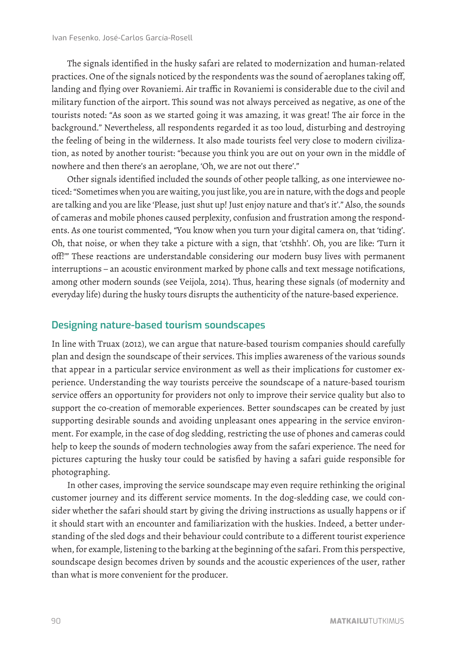The signals identified in the husky safari are related to modernization and human-related practices. One of the signals noticed by the respondents was the sound of aeroplanes taking off, landing and flying over Rovaniemi. Air traffic in Rovaniemi is considerable due to the civil and military function of the airport. This sound was not always perceived as negative, as one of the tourists noted: "As soon as we started going it was amazing, it was great! The air force in the background." Nevertheless, all respondents regarded it as too loud, disturbing and destroying the feeling of being in the wilderness. It also made tourists feel very close to modern civilization, as noted by another tourist: "because you think you are out on your own in the middle of nowhere and then there's an aeroplane, 'Oh, we are not out there'."

Other signals identified included the sounds of other people talking, as one interviewee noticed: "Sometimes when you are waiting, you just like, you are in nature, with the dogs and people are talking and you are like 'Please, just shut up! Just enjoy nature and that's it'." Also, the sounds of cameras and mobile phones caused perplexity, confusion and frustration among the respondents. As one tourist commented, "You know when you turn your digital camera on, that 'tiding'. Oh, that noise, or when they take a picture with a sign, that 'ctshhh'. Oh, you are like: 'Turn it off!'" These reactions are understandable considering our modern busy lives with permanent interruptions – an acoustic environment marked by phone calls and text message notifications, among other modern sounds (see Veijola, 2014). Thus, hearing these signals (of modernity and everyday life) during the husky tours disrupts the authenticity of the nature-based experience.

#### **Designing nature-based tourism soundscapes**

In line with Truax (2012), we can argue that nature-based tourism companies should carefully plan and design the soundscape of their services. This implies awareness of the various sounds that appear in a particular service environment as well as their implications for customer experience. Understanding the way tourists perceive the soundscape of a nature-based tourism service offers an opportunity for providers not only to improve their service quality but also to support the co-creation of memorable experiences. Better soundscapes can be created by just supporting desirable sounds and avoiding unpleasant ones appearing in the service environment. For example, in the case of dog sledding, restricting the use of phones and cameras could help to keep the sounds of modern technologies away from the safari experience. The need for pictures capturing the husky tour could be satisfied by having a safari guide responsible for photographing.

In other cases, improving the service soundscape may even require rethinking the original customer journey and its different service moments. In the dog-sledding case, we could consider whether the safari should start by giving the driving instructions as usually happens or if it should start with an encounter and familiarization with the huskies. Indeed, a better understanding of the sled dogs and their behaviour could contribute to a different tourist experience when, for example, listening to the barking at the beginning of the safari. From this perspective, soundscape design becomes driven by sounds and the acoustic experiences of the user, rather than what is more convenient for the producer.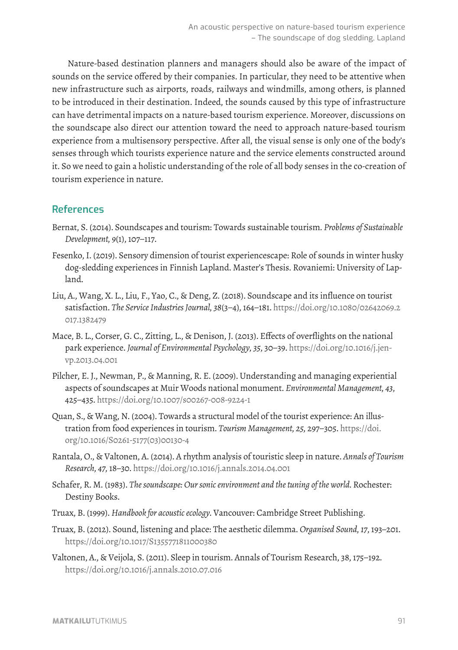Nature-based destination planners and managers should also be aware of the impact of sounds on the service offered by their companies. In particular, they need to be attentive when new infrastructure such as airports, roads, railways and windmills, among others, is planned to be introduced in their destination. Indeed, the sounds caused by this type of infrastructure can have detrimental impacts on a nature-based tourism experience. Moreover, discussions on the soundscape also direct our attention toward the need to approach nature-based tourism experience from a multisensory perspective. After all, the visual sense is only one of the body's senses through which tourists experience nature and the service elements constructed around it. So we need to gain a holistic understanding of the role of all body senses in the co-creation of tourism experience in nature.

#### **References**

- Bernat, S. (2014). Soundscapes and tourism: Towards sustainable tourism. *Problems of Sustainable Development, 9*(1), 107−117.
- Fesenko, I. (2019). Sensory dimension of tourist experiencescape: Role of sounds in winter husky dog-sledding experiences in Finnish Lapland. Master's Thesis. Rovaniemi: University of Lapland.
- Liu, A., Wang, X. L., Liu, F., Yao, C., & Deng, Z. (2018). Soundscape and its influence on tourist satisfaction. *The Service Industries Journal, 38*(3−4), 164−181. [https://doi.org/10.1080/02642069.2](https://doi.org/10.1080/02642069.2017.1382479 ) [017.1382479](https://doi.org/10.1080/02642069.2017.1382479 )
- Mace, B. L., Corser, G. C., Zitting, L., & Denison, J. (2013). Effects of overflights on the national park experience. *Journal of Environmental Psychology, 35*, 30−39. [https://doi.org/10.1016/j.jen](https://doi.org/10.1016/j.jenvp.2013.04.001 )[vp.2013.04.001](https://doi.org/10.1016/j.jenvp.2013.04.001 )
- Pilcher, E. J., Newman, P., & Manning, R. E. (2009). Understanding and managing experiential aspects of soundscapes at Muir Woods national monument. *Environmental Management, 43*, 425−435. <https://doi.org/10.1007/s00267-008-9224-1>
- Quan, S., & Wang, N. (2004). Towards a structural model of the tourist experience: An illustration from food experiences in tourism. *Tourism Management, 25,* 297−305. [https://doi.](https://doi.org/10.1016/S0261-5177(03)00130-4 ) [org/10.1016/S0261-5177\(03\)00130-4](https://doi.org/10.1016/S0261-5177(03)00130-4 )
- Rantala, O., & Valtonen, A. (2014). A rhythm analysis of touristic sleep in nature. *Annals of Tourism Research, 47,* 18–30.<https://doi.org/10.1016/j.annals.2014.04.001>
- Schafer, R. M. (1983). *The soundscape: Our sonic environment and the tuning of the world.* Rochester: Destiny Books.
- Truax, B. (1999). *Handbook for acoustic ecology.* Vancouver: Cambridge Street Publishing.
- Truax, B. (2012). Sound, listening and place: The aesthetic dilemma. *Organised Sound, 17*, 193–201. <https://doi.org/10.1017/S1355771811000380>
- Valtonen, A., & Veijola, S. (2011). Sleep in tourism. Annals of Tourism Research, 38, 175−192. <https://doi.org/10.1016/j.annals.2010.07.016>